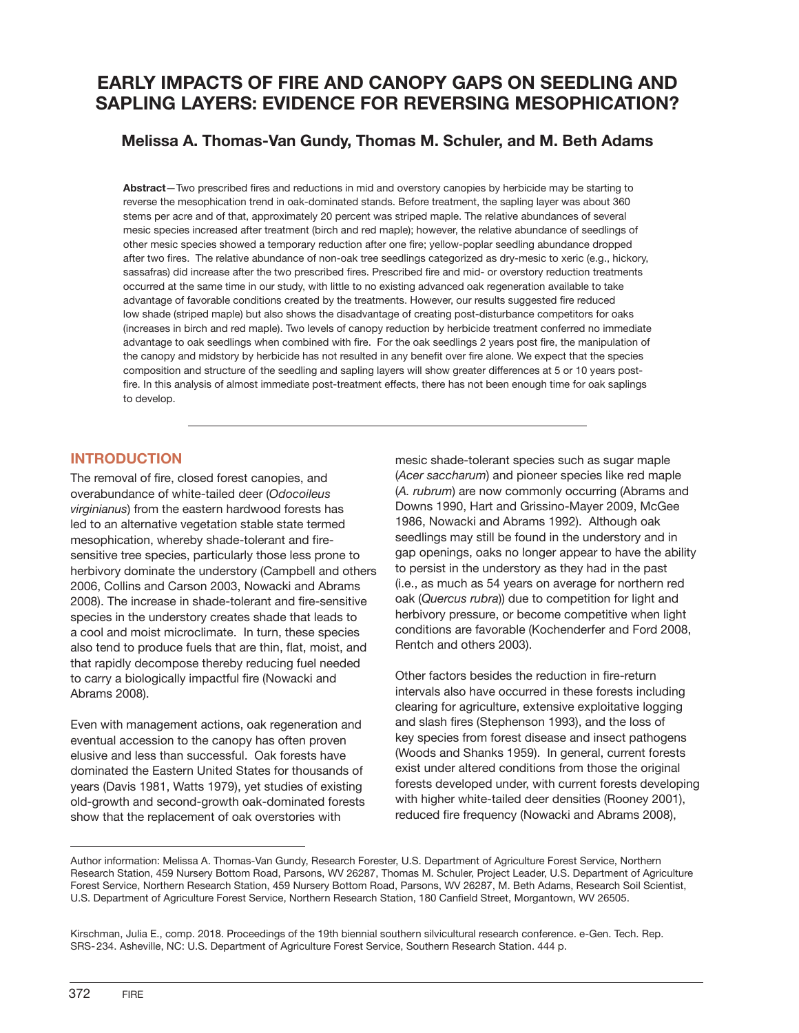# **EARLY IMPACTS OF FIRE AND CANOPY GAPS ON SEEDLING AND SAPLING LAYERS: EVIDENCE FOR REVERSING MESOPHICATION?**

## **Melissa A. Thomas-Van Gundy, Thomas M. Schuler, and M. Beth Adams**

**Abstract**—Two prescribed fires and reductions in mid and overstory canopies by herbicide may be starting to reverse the mesophication trend in oak-dominated stands. Before treatment, the sapling layer was about 360 stems per acre and of that, approximately 20 percent was striped maple. The relative abundances of several mesic species increased after treatment (birch and red maple); however, the relative abundance of seedlings of other mesic species showed a temporary reduction after one fire; yellow-poplar seedling abundance dropped after two fires. The relative abundance of non-oak tree seedlings categorized as dry-mesic to xeric (e.g., hickory, sassafras) did increase after the two prescribed fires. Prescribed fire and mid- or overstory reduction treatments occurred at the same time in our study, with little to no existing advanced oak regeneration available to take advantage of favorable conditions created by the treatments. However, our results suggested fire reduced low shade (striped maple) but also shows the disadvantage of creating post-disturbance competitors for oaks (increases in birch and red maple). Two levels of canopy reduction by herbicide treatment conferred no immediate advantage to oak seedlings when combined with fire. For the oak seedlings 2 years post fire, the manipulation of the canopy and midstory by herbicide has not resulted in any benefit over fire alone. We expect that the species composition and structure of the seedling and sapling layers will show greater differences at 5 or 10 years postfire. In this analysis of almost immediate post-treatment effects, there has not been enough time for oak saplings to develop.

### **INTRODUCTION**

The removal of fire, closed forest canopies, and overabundance of white-tailed deer (*Odocoileus virginianus*) from the eastern hardwood forests has led to an alternative vegetation stable state termed mesophication, whereby shade-tolerant and firesensitive tree species, particularly those less prone to herbivory dominate the understory (Campbell and others 2006, Collins and Carson 2003, Nowacki and Abrams 2008). The increase in shade-tolerant and fire-sensitive species in the understory creates shade that leads to a cool and moist microclimate. In turn, these species also tend to produce fuels that are thin, flat, moist, and that rapidly decompose thereby reducing fuel needed to carry a biologically impactful fire (Nowacki and Abrams 2008).

Even with management actions, oak regeneration and eventual accession to the canopy has often proven elusive and less than successful. Oak forests have dominated the Eastern United States for thousands of years (Davis 1981, Watts 1979), yet studies of existing old-growth and second-growth oak-dominated forests show that the replacement of oak overstories with

mesic shade-tolerant species such as sugar maple (*Acer saccharum*) and pioneer species like red maple (*A. rubrum*) are now commonly occurring (Abrams and Downs 1990, Hart and Grissino-Mayer 2009, McGee 1986, Nowacki and Abrams 1992). Although oak seedlings may still be found in the understory and in gap openings, oaks no longer appear to have the ability to persist in the understory as they had in the past (i.e., as much as 54 years on average for northern red oak (*Quercus rubra*)) due to competition for light and herbivory pressure, or become competitive when light conditions are favorable (Kochenderfer and Ford 2008, Rentch and others 2003).

Other factors besides the reduction in fire-return intervals also have occurred in these forests including clearing for agriculture, extensive exploitative logging and slash fires (Stephenson 1993), and the loss of key species from forest disease and insect pathogens (Woods and Shanks 1959). In general, current forests exist under altered conditions from those the original forests developed under, with current forests developing with higher white-tailed deer densities (Rooney 2001), reduced fire frequency (Nowacki and Abrams 2008),

Author information: Melissa A. Thomas-Van Gundy, Research Forester, U.S. Department of Agriculture Forest Service, Northern Research Station, 459 Nursery Bottom Road, Parsons, WV 26287, Thomas M. Schuler, Project Leader, U.S. Department of Agriculture Forest Service, Northern Research Station, 459 Nursery Bottom Road, Parsons, WV 26287, M. Beth Adams, Research Soil Scientist, U.S. Department of Agriculture Forest Service, Northern Research Station, 180 Canfield Street, Morgantown, WV 26505.

Kirschman, Julia E., comp. 2018. Proceedings of the 19th biennial southern silvicultural research conference. e-Gen. Tech. Rep. SRS-234. Asheville, NC: U.S. Department of Agriculture Forest Service, Southern Research Station. 444 p.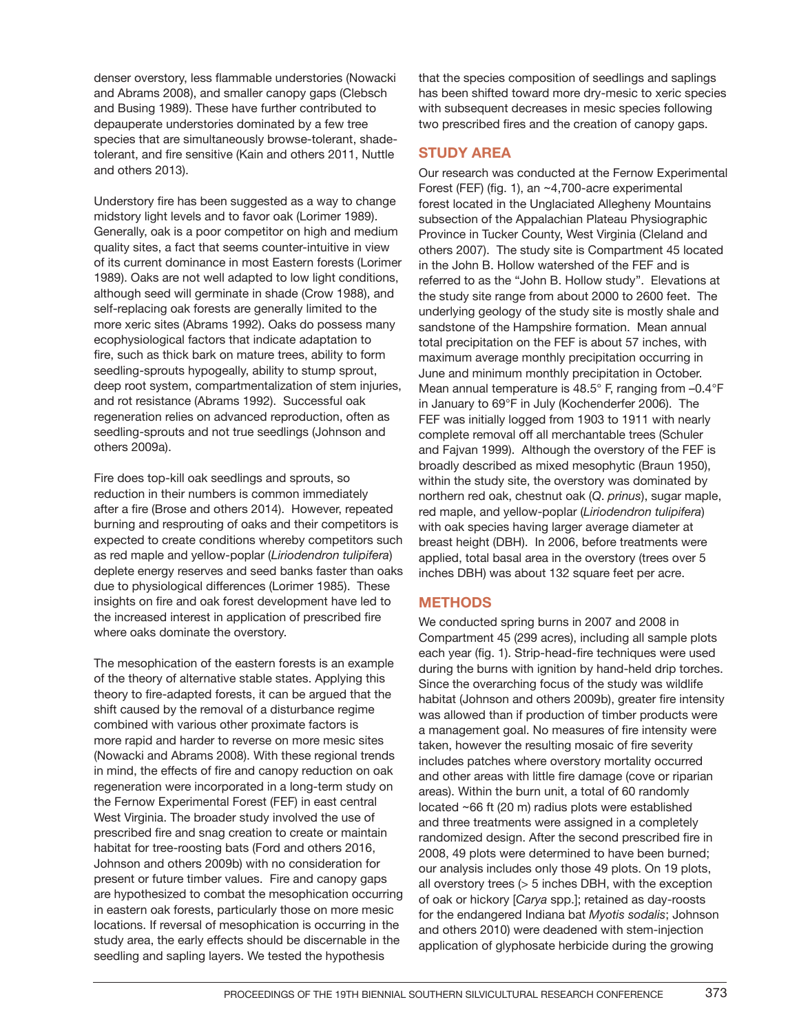denser overstory, less flammable understories (Nowacki and Abrams 2008), and smaller canopy gaps (Clebsch and Busing 1989). These have further contributed to depauperate understories dominated by a few tree species that are simultaneously browse-tolerant, shadetolerant, and fire sensitive (Kain and others 2011, Nuttle and others 2013).

Understory fire has been suggested as a way to change midstory light levels and to favor oak (Lorimer 1989). Generally, oak is a poor competitor on high and medium quality sites, a fact that seems counter-intuitive in view of its current dominance in most Eastern forests (Lorimer 1989). Oaks are not well adapted to low light conditions, although seed will germinate in shade (Crow 1988), and self-replacing oak forests are generally limited to the more xeric sites (Abrams 1992). Oaks do possess many ecophysiological factors that indicate adaptation to fire, such as thick bark on mature trees, ability to form seedling-sprouts hypogeally, ability to stump sprout, deep root system, compartmentalization of stem injuries, and rot resistance (Abrams 1992). Successful oak regeneration relies on advanced reproduction, often as seedling-sprouts and not true seedlings (Johnson and others 2009a).

Fire does top-kill oak seedlings and sprouts, so reduction in their numbers is common immediately after a fire (Brose and others 2014). However, repeated burning and resprouting of oaks and their competitors is expected to create conditions whereby competitors such as red maple and yellow-poplar (*Liriodendron tulipifera*) deplete energy reserves and seed banks faster than oaks due to physiological differences (Lorimer 1985). These insights on fire and oak forest development have led to the increased interest in application of prescribed fire where oaks dominate the overstory.

The mesophication of the eastern forests is an example of the theory of alternative stable states. Applying this theory to fire-adapted forests, it can be argued that the shift caused by the removal of a disturbance regime combined with various other proximate factors is more rapid and harder to reverse on more mesic sites (Nowacki and Abrams 2008). With these regional trends in mind, the effects of fire and canopy reduction on oak regeneration were incorporated in a long-term study on the Fernow Experimental Forest (FEF) in east central West Virginia. The broader study involved the use of prescribed fire and snag creation to create or maintain habitat for tree-roosting bats (Ford and others 2016, Johnson and others 2009b) with no consideration for present or future timber values. Fire and canopy gaps are hypothesized to combat the mesophication occurring in eastern oak forests, particularly those on more mesic locations. If reversal of mesophication is occurring in the study area, the early effects should be discernable in the seedling and sapling layers. We tested the hypothesis

that the species composition of seedlings and saplings has been shifted toward more dry-mesic to xeric species with subsequent decreases in mesic species following two prescribed fires and the creation of canopy gaps.

### **STUDY AREA**

Our research was conducted at the Fernow Experimental Forest (FEF) (fig. 1), an ~4,700-acre experimental forest located in the Unglaciated Allegheny Mountains subsection of the Appalachian Plateau Physiographic Province in Tucker County, West Virginia (Cleland and others 2007). The study site is Compartment 45 located in the John B. Hollow watershed of the FEF and is referred to as the "John B. Hollow study". Elevations at the study site range from about 2000 to 2600 feet. The underlying geology of the study site is mostly shale and sandstone of the Hampshire formation. Mean annual total precipitation on the FEF is about 57 inches, with maximum average monthly precipitation occurring in June and minimum monthly precipitation in October. Mean annual temperature is 48.5° F, ranging from –0.4°F in January to 69°F in July (Kochenderfer 2006). The FEF was initially logged from 1903 to 1911 with nearly complete removal off all merchantable trees (Schuler and Fajvan 1999). Although the overstory of the FEF is broadly described as mixed mesophytic (Braun 1950), within the study site, the overstory was dominated by northern red oak, chestnut oak (*Q*. *prinus*), sugar maple, red maple, and yellow-poplar (*Liriodendron tulipifera*) with oak species having larger average diameter at breast height (DBH). In 2006, before treatments were applied, total basal area in the overstory (trees over 5 inches DBH) was about 132 square feet per acre.

## **METHODS**

We conducted spring burns in 2007 and 2008 in Compartment 45 (299 acres), including all sample plots each year (fig. 1). Strip-head-fire techniques were used during the burns with ignition by hand-held drip torches. Since the overarching focus of the study was wildlife habitat (Johnson and others 2009b), greater fire intensity was allowed than if production of timber products were a management goal. No measures of fire intensity were taken, however the resulting mosaic of fire severity includes patches where overstory mortality occurred and other areas with little fire damage (cove or riparian areas). Within the burn unit, a total of 60 randomly located ~66 ft (20 m) radius plots were established and three treatments were assigned in a completely randomized design. After the second prescribed fire in 2008, 49 plots were determined to have been burned; our analysis includes only those 49 plots. On 19 plots, all overstory trees (> 5 inches DBH, with the exception of oak or hickory [*Carya* spp.]; retained as day-roosts for the endangered Indiana bat *Myotis sodalis*; Johnson and others 2010) were deadened with stem-injection application of glyphosate herbicide during the growing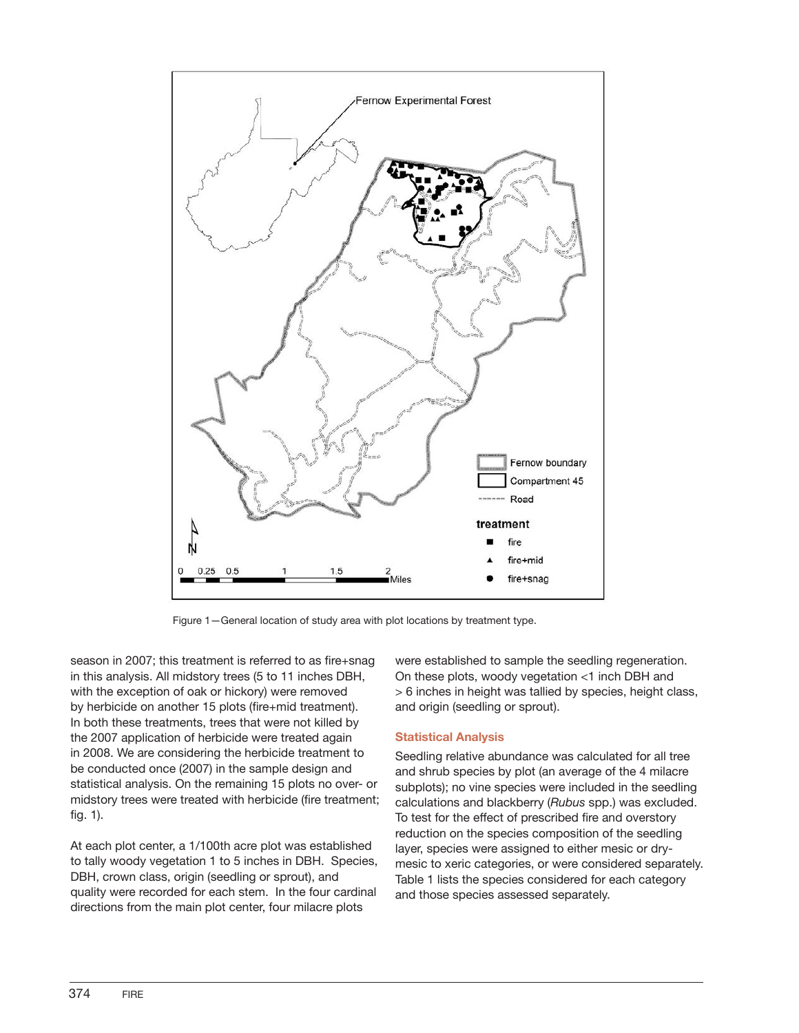

Figure 1—General location of study area with plot locations by treatment type.

season in 2007; this treatment is referred to as fire+snag in this analysis. All midstory trees (5 to 11 inches DBH, with the exception of oak or hickory) were removed by herbicide on another 15 plots (fire+mid treatment). In both these treatments, trees that were not killed by the 2007 application of herbicide were treated again in 2008. We are considering the herbicide treatment to be conducted once (2007) in the sample design and statistical analysis. On the remaining 15 plots no over- or midstory trees were treated with herbicide (fire treatment; fig. 1).

At each plot center, a 1/100th acre plot was established to tally woody vegetation 1 to 5 inches in DBH. Species, DBH, crown class, origin (seedling or sprout), and quality were recorded for each stem. In the four cardinal directions from the main plot center, four milacre plots

were established to sample the seedling regeneration. On these plots, woody vegetation <1 inch DBH and > 6 inches in height was tallied by species, height class, and origin (seedling or sprout).

#### **Statistical Analysis**

Seedling relative abundance was calculated for all tree and shrub species by plot (an average of the 4 milacre subplots); no vine species were included in the seedling calculations and blackberry (*Rubus* spp.) was excluded. To test for the effect of prescribed fire and overstory reduction on the species composition of the seedling layer, species were assigned to either mesic or drymesic to xeric categories, or were considered separately. Table 1 lists the species considered for each category and those species assessed separately.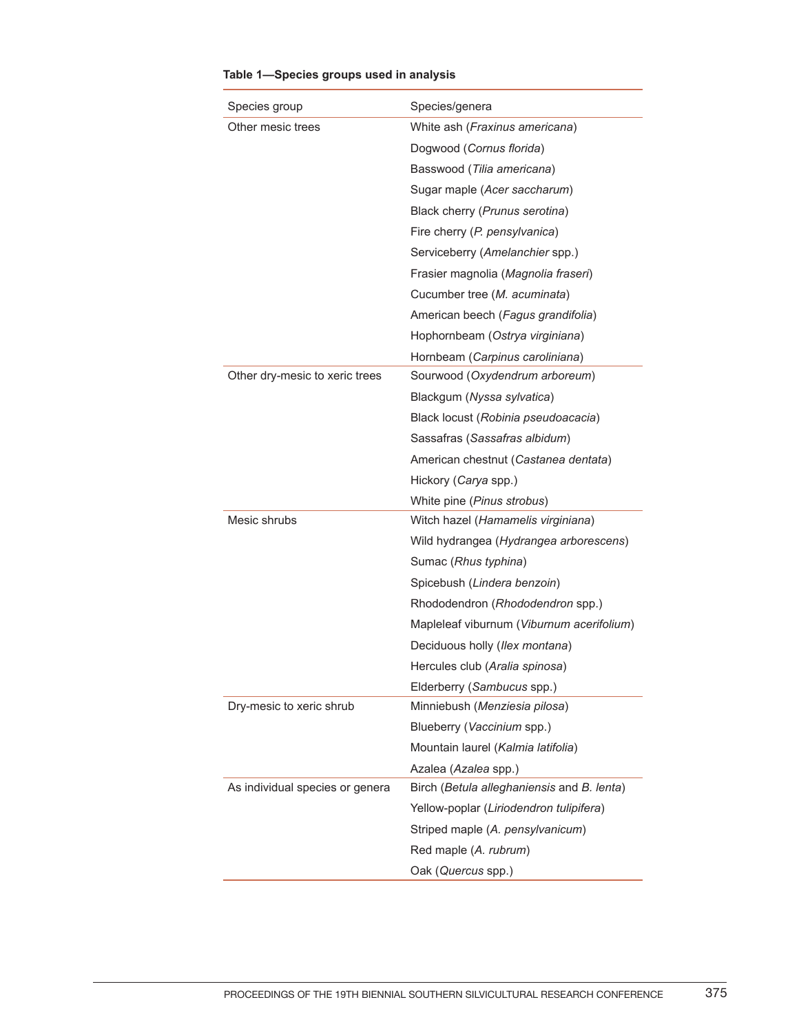| Species group                   | Species/genera                             |  |
|---------------------------------|--------------------------------------------|--|
| Other mesic trees               | White ash (Fraxinus americana)             |  |
|                                 | Dogwood (Cornus florida)                   |  |
|                                 | Basswood (Tilia americana)                 |  |
|                                 | Sugar maple (Acer saccharum)               |  |
|                                 | Black cherry (Prunus serotina)             |  |
|                                 | Fire cherry (P. pensylvanica)              |  |
|                                 | Serviceberry (Amelanchier spp.)            |  |
|                                 | Frasier magnolia (Magnolia fraseri)        |  |
|                                 | Cucumber tree (M. acuminata)               |  |
|                                 | American beech (Fagus grandifolia)         |  |
|                                 | Hophornbeam (Ostrya virginiana)            |  |
|                                 | Hornbeam (Carpinus caroliniana)            |  |
| Other dry-mesic to xeric trees  | Sourwood (Oxydendrum arboreum)             |  |
|                                 | Blackgum (Nyssa sylvatica)                 |  |
|                                 | Black locust (Robinia pseudoacacia)        |  |
|                                 | Sassafras (Sassafras albidum)              |  |
|                                 | American chestnut (Castanea dentata)       |  |
|                                 | Hickory (Carya spp.)                       |  |
|                                 | White pine (Pinus strobus)                 |  |
| Mesic shrubs                    | Witch hazel (Hamamelis virginiana)         |  |
|                                 | Wild hydrangea (Hydrangea arborescens)     |  |
|                                 | Sumac (Rhus typhina)                       |  |
|                                 | Spicebush (Lindera benzoin)                |  |
|                                 | Rhododendron (Rhododendron spp.)           |  |
|                                 | Mapleleaf viburnum (Viburnum acerifolium)  |  |
|                                 | Deciduous holly (Ilex montana)             |  |
|                                 | Hercules club (Aralia spinosa)             |  |
|                                 | Elderberry (Sambucus spp.)                 |  |
| Dry-mesic to xeric shrub        | Minniebush (Menziesia pilosa)              |  |
|                                 | Blueberry (Vaccinium spp.)                 |  |
|                                 | Mountain laurel (Kalmia latifolia)         |  |
|                                 | Azalea (Azalea spp.)                       |  |
| As individual species or genera | Birch (Betula alleghaniensis and B. lenta) |  |
|                                 | Yellow-poplar (Liriodendron tulipifera)    |  |
|                                 | Striped maple (A. pensylvanicum)           |  |
|                                 | Red maple (A. rubrum)                      |  |
|                                 | Oak (Quercus spp.)                         |  |

## **Table 1—Species groups used in analysis**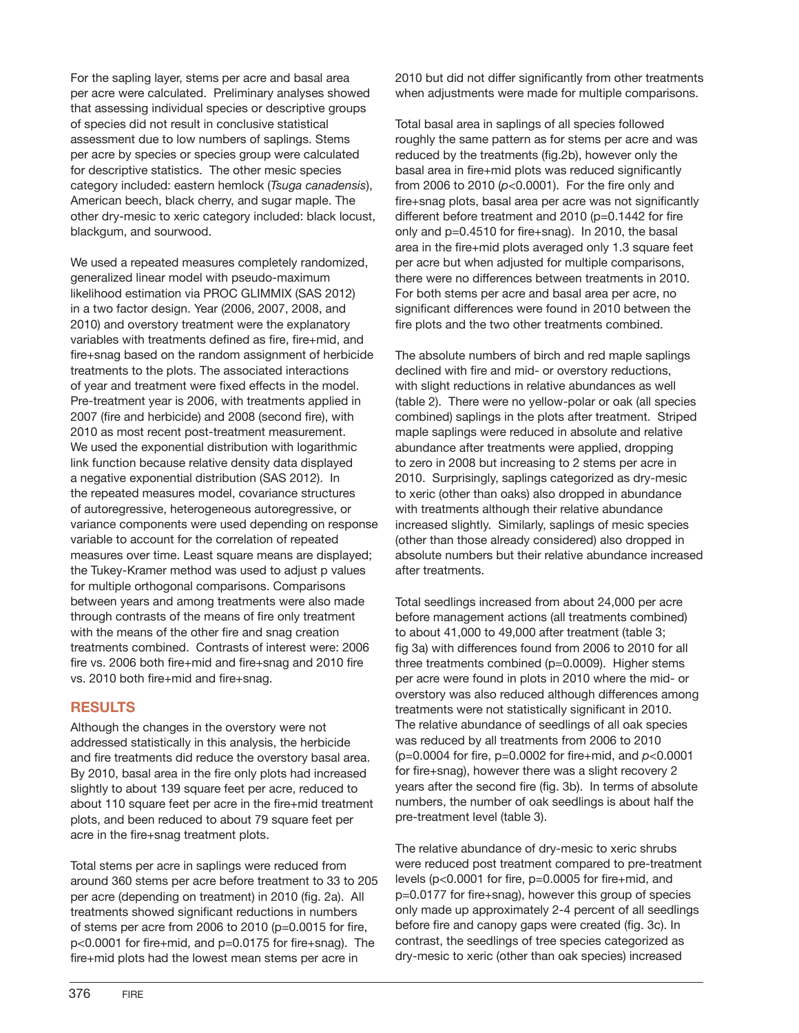For the sapling layer, stems per acre and basal area per acre were calculated. Preliminary analyses showed that assessing individual species or descriptive groups of species did not result in conclusive statistical assessment due to low numbers of saplings. Stems per acre by species or species group were calculated for descriptive statistics. The other mesic species category included: eastern hemlock (*Tsuga canadensis*), American beech, black cherry, and sugar maple. The other dry-mesic to xeric category included: black locust, blackgum, and sourwood.

We used a repeated measures completely randomized, generalized linear model with pseudo-maximum likelihood estimation via PROC GLIMMIX (SAS 2012) in a two factor design. Year (2006, 2007, 2008, and 2010) and overstory treatment were the explanatory variables with treatments defined as fire, fire+mid, and fire+snag based on the random assignment of herbicide treatments to the plots. The associated interactions of year and treatment were fixed effects in the model. Pre-treatment year is 2006, with treatments applied in 2007 (fire and herbicide) and 2008 (second fire), with 2010 as most recent post-treatment measurement. We used the exponential distribution with logarithmic link function because relative density data displayed a negative exponential distribution (SAS 2012). In the repeated measures model, covariance structures of autoregressive, heterogeneous autoregressive, or variance components were used depending on response variable to account for the correlation of repeated measures over time. Least square means are displayed; the Tukey-Kramer method was used to adjust p values for multiple orthogonal comparisons. Comparisons between years and among treatments were also made through contrasts of the means of fire only treatment with the means of the other fire and snag creation treatments combined. Contrasts of interest were: 2006 fire vs. 2006 both fire+mid and fire+snag and 2010 fire vs. 2010 both fire+mid and fire+snag.

#### **RESULTS**

Although the changes in the overstory were not addressed statistically in this analysis, the herbicide and fire treatments did reduce the overstory basal area. By 2010, basal area in the fire only plots had increased slightly to about 139 square feet per acre, reduced to about 110 square feet per acre in the fire+mid treatment plots, and been reduced to about 79 square feet per acre in the fire+snag treatment plots.

Total stems per acre in saplings were reduced from around 360 stems per acre before treatment to 33 to 205 per acre (depending on treatment) in 2010 (fig. 2a). All treatments showed significant reductions in numbers of stems per acre from 2006 to 2010 (p=0.0015 for fire, p<0.0001 for fire+mid, and p=0.0175 for fire+snag). The fire+mid plots had the lowest mean stems per acre in

2010 but did not differ significantly from other treatments when adjustments were made for multiple comparisons.

Total basal area in saplings of all species followed roughly the same pattern as for stems per acre and was reduced by the treatments (fig.2b), however only the basal area in fire+mid plots was reduced significantly from 2006 to 2010 (*p*<0.0001). For the fire only and fire+snag plots, basal area per acre was not significantly different before treatment and 2010 (p=0.1442 for fire only and p=0.4510 for fire+snag). In 2010, the basal area in the fire+mid plots averaged only 1.3 square feet per acre but when adjusted for multiple comparisons, there were no differences between treatments in 2010. For both stems per acre and basal area per acre, no significant differences were found in 2010 between the fire plots and the two other treatments combined.

The absolute numbers of birch and red maple saplings declined with fire and mid- or overstory reductions, with slight reductions in relative abundances as well (table 2). There were no yellow-polar or oak (all species combined) saplings in the plots after treatment. Striped maple saplings were reduced in absolute and relative abundance after treatments were applied, dropping to zero in 2008 but increasing to 2 stems per acre in 2010. Surprisingly, saplings categorized as dry-mesic to xeric (other than oaks) also dropped in abundance with treatments although their relative abundance increased slightly. Similarly, saplings of mesic species (other than those already considered) also dropped in absolute numbers but their relative abundance increased after treatments.

Total seedlings increased from about 24,000 per acre before management actions (all treatments combined) to about 41,000 to 49,000 after treatment (table 3; fig 3a) with differences found from 2006 to 2010 for all three treatments combined (p=0.0009). Higher stems per acre were found in plots in 2010 where the mid- or overstory was also reduced although differences among treatments were not statistically significant in 2010. The relative abundance of seedlings of all oak species was reduced by all treatments from 2006 to 2010 (p=0.0004 for fire, p=0.0002 for fire+mid, and *p*<0.0001 for fire+snag), however there was a slight recovery 2 years after the second fire (fig. 3b). In terms of absolute numbers, the number of oak seedlings is about half the pre-treatment level (table 3).

The relative abundance of dry-mesic to xeric shrubs were reduced post treatment compared to pre-treatment levels (p<0.0001 for fire, p=0.0005 for fire+mid, and p=0.0177 for fire+snag), however this group of species only made up approximately 2-4 percent of all seedlings before fire and canopy gaps were created (fig. 3c). In contrast, the seedlings of tree species categorized as dry-mesic to xeric (other than oak species) increased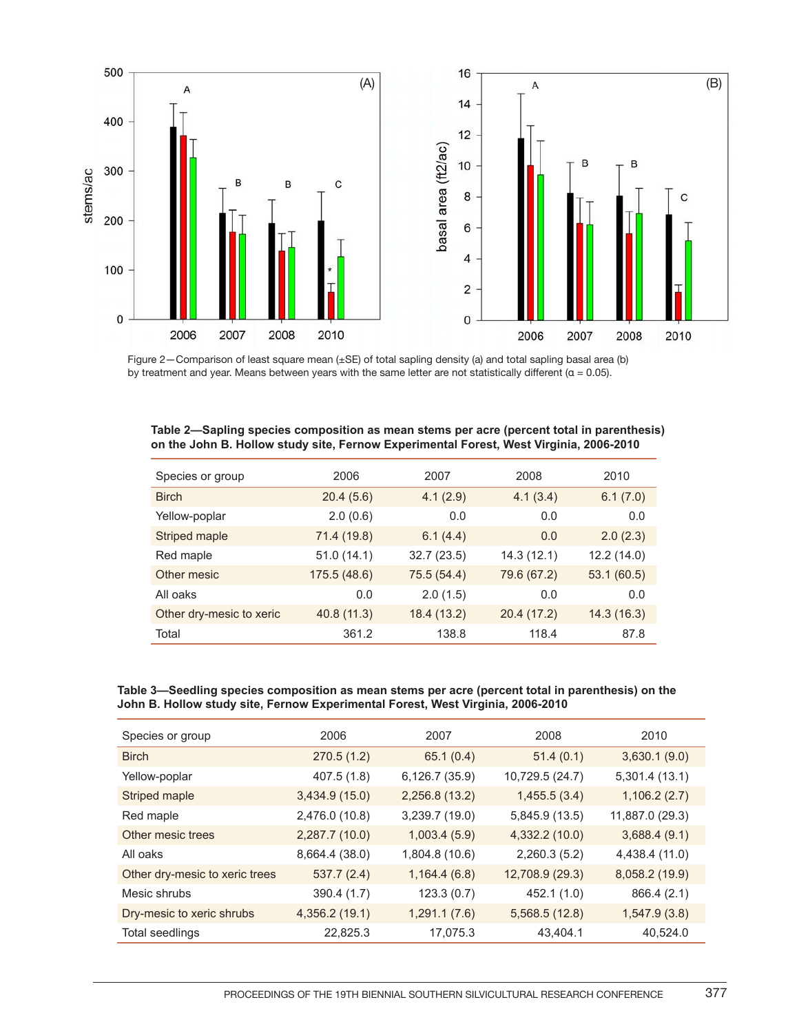

Figure 2—Comparison of least square mean (±SE) of total sapling density (a) and total sapling basal area (b) by treatment and year. Means between years with the same letter are not statistically different ( $\alpha$  = 0.05).

| Species or group         | 2006         | 2007        | 2008        | 2010        |
|--------------------------|--------------|-------------|-------------|-------------|
| <b>Birch</b>             | 20.4(5.6)    | 4.1(2.9)    | 4.1(3.4)    | 6.1(7.0)    |
| Yellow-poplar            | 2.0(0.6)     | 0.0         | 0.0         | 0.0         |
| Striped maple            | 71.4 (19.8)  | 6.1(4.4)    | 0.0         | 2.0(2.3)    |
| Red maple                | 51.0(14.1)   | 32.7(23.5)  | 14.3(12.1)  | 12.2 (14.0) |
| Other mesic              | 175.5 (48.6) | 75.5 (54.4) | 79.6 (67.2) | 53.1 (60.5) |
| All oaks                 | 0.0          | 2.0(1.5)    | 0.0         | 0.0         |
| Other dry-mesic to xeric | 40.8 (11.3)  | 18.4 (13.2) | 20.4 (17.2) | 14.3(16.3)  |
| Total                    | 361.2        | 138.8       | 118.4       | 87.8        |

#### **Table 2—Sapling species composition as mean stems per acre (percent total in parenthesis) on the John B. Hollow study site, Fernow Experimental Forest, West Virginia, 2006-2010**

#### **Table 3—Seedling species composition as mean stems per acre (percent total in parenthesis) on the John B. Hollow study site, Fernow Experimental Forest, West Virginia, 2006-2010**

| Species or group               | 2006           | 2007           | 2008            | 2010            |
|--------------------------------|----------------|----------------|-----------------|-----------------|
| <b>Birch</b>                   | 270.5(1.2)     | 65.1(0.4)      | 51.4(0.1)       | 3,630.1(9.0)    |
| Yellow-poplar                  | 407.5 (1.8)    | 6,126.7 (35.9) | 10,729.5 (24.7) | 5,301.4(13.1)   |
| Striped maple                  | 3,434.9(15.0)  | 2,256.8 (13.2) | 1,455.5(3.4)    | 1,106.2(2.7)    |
| Red maple                      | 2,476.0 (10.8) | 3,239.7 (19.0) | 5,845.9 (13.5)  | 11,887.0 (29.3) |
| Other mesic trees              | 2,287.7 (10.0) | 1,003.4(5.9)   | 4,332.2 (10.0)  | 3,688.4(9.1)    |
| All oaks                       | 8,664.4 (38.0) | 1,804.8 (10.6) | 2,260.3 (5.2)   | 4,438.4 (11.0)  |
| Other dry-mesic to xeric trees | 537.7(2.4)     | 1,164.4(6.8)   | 12,708.9 (29.3) | 8,058.2 (19.9)  |
| Mesic shrubs                   | 390.4 (1.7)    | 123.3(0.7)     | 452.1 (1.0)     | 866.4 (2.1)     |
| Dry-mesic to xeric shrubs      | 4,356.2 (19.1) | 1,291.1(7.6)   | 5,568.5 (12.8)  | 1,547.9(3.8)    |
| Total seedlings                | 22,825.3       | 17,075.3       | 43,404.1        | 40,524.0        |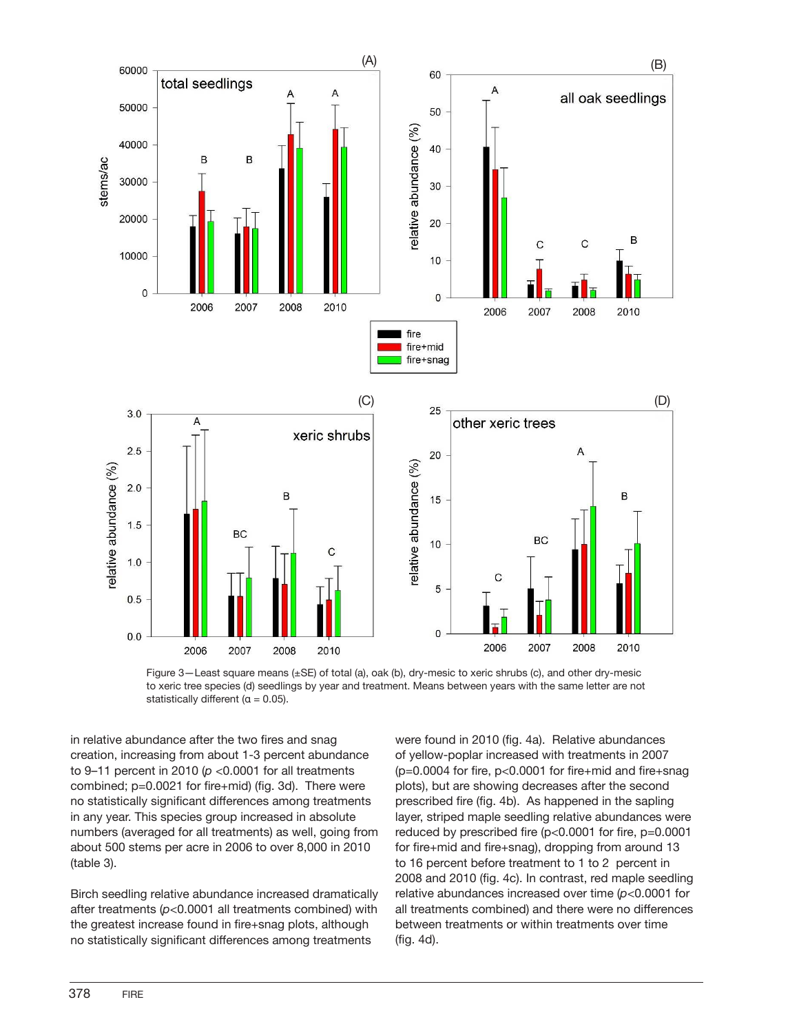



in relative abundance after the two fires and snag creation, increasing from about 1-3 percent abundance to 9–11 percent in 2010 (*p* <0.0001 for all treatments combined; p=0.0021 for fire+mid) (fig. 3d). There were no statistically significant differences among treatments in any year. This species group increased in absolute numbers (averaged for all treatments) as well, going from about 500 stems per acre in 2006 to over 8,000 in 2010 (table 3).

Birch seedling relative abundance increased dramatically after treatments (*p*<0.0001 all treatments combined) with the greatest increase found in fire+snag plots, although no statistically significant differences among treatments

were found in 2010 (fig. 4a). Relative abundances of yellow-poplar increased with treatments in 2007  $(p=0.0004$  for fire,  $p<0.0001$  for fire+mid and fire+snag plots), but are showing decreases after the second prescribed fire (fig. 4b). As happened in the sapling layer, striped maple seedling relative abundances were reduced by prescribed fire (p<0.0001 for fire, p=0.0001 for fire+mid and fire+snag), dropping from around 13 to 16 percent before treatment to 1 to 2 percent in 2008 and 2010 (fig. 4c). In contrast, red maple seedling relative abundances increased over time (*p*<0.0001 for all treatments combined) and there were no differences between treatments or within treatments over time (fig. 4d).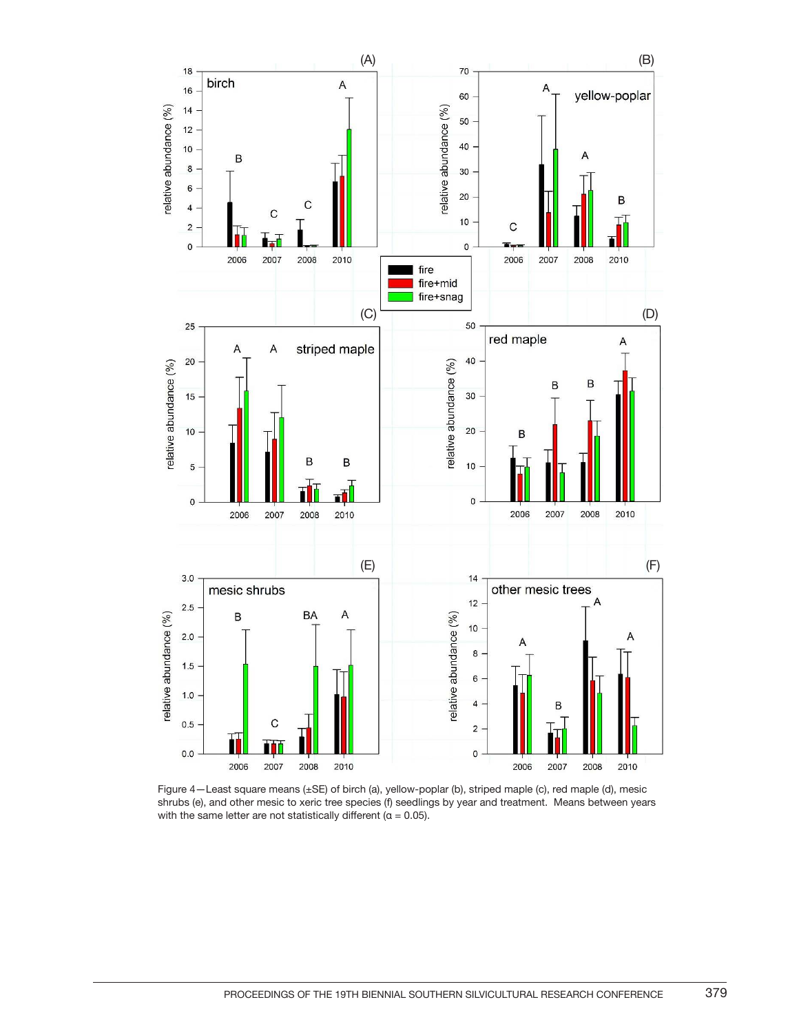

Figure 4—Least square means (±SE) of birch (a), yellow-poplar (b), striped maple (c), red maple (d), mesic shrubs (e), and other mesic to xeric tree species (f) seedlings by year and treatment. Means between years with the same letter are not statistically different ( $\alpha = 0.05$ ).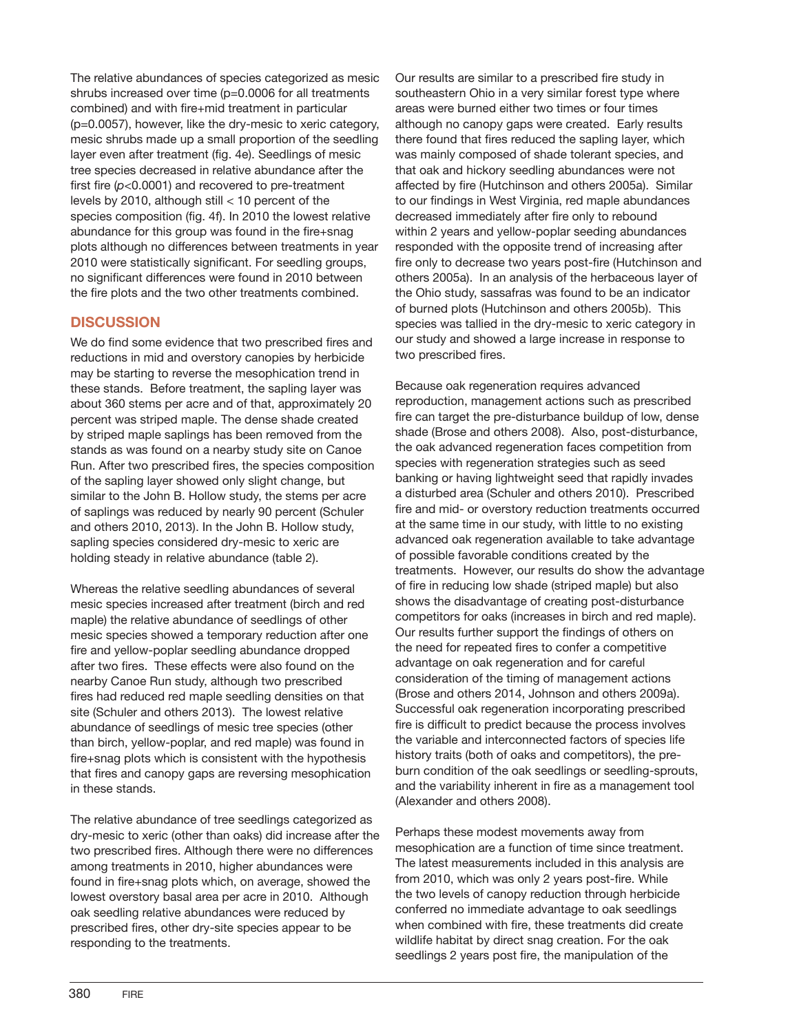The relative abundances of species categorized as mesic shrubs increased over time (p=0.0006 for all treatments combined) and with fire+mid treatment in particular (p=0.0057), however, like the dry-mesic to xeric category, mesic shrubs made up a small proportion of the seedling layer even after treatment (fig. 4e). Seedlings of mesic tree species decreased in relative abundance after the first fire (*p*<0.0001) and recovered to pre-treatment levels by 2010, although still < 10 percent of the species composition (fig. 4f). In 2010 the lowest relative abundance for this group was found in the fire+snag plots although no differences between treatments in year 2010 were statistically significant. For seedling groups, no significant differences were found in 2010 between the fire plots and the two other treatments combined.

## **DISCUSSION**

We do find some evidence that two prescribed fires and reductions in mid and overstory canopies by herbicide may be starting to reverse the mesophication trend in these stands. Before treatment, the sapling layer was about 360 stems per acre and of that, approximately 20 percent was striped maple. The dense shade created by striped maple saplings has been removed from the stands as was found on a nearby study site on Canoe Run. After two prescribed fires, the species composition of the sapling layer showed only slight change, but similar to the John B. Hollow study, the stems per acre of saplings was reduced by nearly 90 percent (Schuler and others 2010, 2013). In the John B. Hollow study, sapling species considered dry-mesic to xeric are holding steady in relative abundance (table 2).

Whereas the relative seedling abundances of several mesic species increased after treatment (birch and red maple) the relative abundance of seedlings of other mesic species showed a temporary reduction after one fire and yellow-poplar seedling abundance dropped after two fires. These effects were also found on the nearby Canoe Run study, although two prescribed fires had reduced red maple seedling densities on that site (Schuler and others 2013). The lowest relative abundance of seedlings of mesic tree species (other than birch, yellow-poplar, and red maple) was found in fire+snag plots which is consistent with the hypothesis that fires and canopy gaps are reversing mesophication in these stands.

The relative abundance of tree seedlings categorized as dry-mesic to xeric (other than oaks) did increase after the two prescribed fires. Although there were no differences among treatments in 2010, higher abundances were found in fire+snag plots which, on average, showed the lowest overstory basal area per acre in 2010. Although oak seedling relative abundances were reduced by prescribed fires, other dry-site species appear to be responding to the treatments.

Our results are similar to a prescribed fire study in southeastern Ohio in a very similar forest type where areas were burned either two times or four times although no canopy gaps were created. Early results there found that fires reduced the sapling layer, which was mainly composed of shade tolerant species, and that oak and hickory seedling abundances were not affected by fire (Hutchinson and others 2005a). Similar to our findings in West Virginia, red maple abundances decreased immediately after fire only to rebound within 2 years and yellow-poplar seeding abundances responded with the opposite trend of increasing after fire only to decrease two years post-fire (Hutchinson and others 2005a). In an analysis of the herbaceous layer of the Ohio study, sassafras was found to be an indicator of burned plots (Hutchinson and others 2005b). This species was tallied in the dry-mesic to xeric category in our study and showed a large increase in response to two prescribed fires.

Because oak regeneration requires advanced reproduction, management actions such as prescribed fire can target the pre-disturbance buildup of low, dense shade (Brose and others 2008). Also, post-disturbance, the oak advanced regeneration faces competition from species with regeneration strategies such as seed banking or having lightweight seed that rapidly invades a disturbed area (Schuler and others 2010). Prescribed fire and mid- or overstory reduction treatments occurred at the same time in our study, with little to no existing advanced oak regeneration available to take advantage of possible favorable conditions created by the treatments. However, our results do show the advantage of fire in reducing low shade (striped maple) but also shows the disadvantage of creating post-disturbance competitors for oaks (increases in birch and red maple). Our results further support the findings of others on the need for repeated fires to confer a competitive advantage on oak regeneration and for careful consideration of the timing of management actions (Brose and others 2014, Johnson and others 2009a). Successful oak regeneration incorporating prescribed fire is difficult to predict because the process involves the variable and interconnected factors of species life history traits (both of oaks and competitors), the preburn condition of the oak seedlings or seedling-sprouts, and the variability inherent in fire as a management tool (Alexander and others 2008).

Perhaps these modest movements away from mesophication are a function of time since treatment. The latest measurements included in this analysis are from 2010, which was only 2 years post-fire. While the two levels of canopy reduction through herbicide conferred no immediate advantage to oak seedlings when combined with fire, these treatments did create wildlife habitat by direct snag creation. For the oak seedlings 2 years post fire, the manipulation of the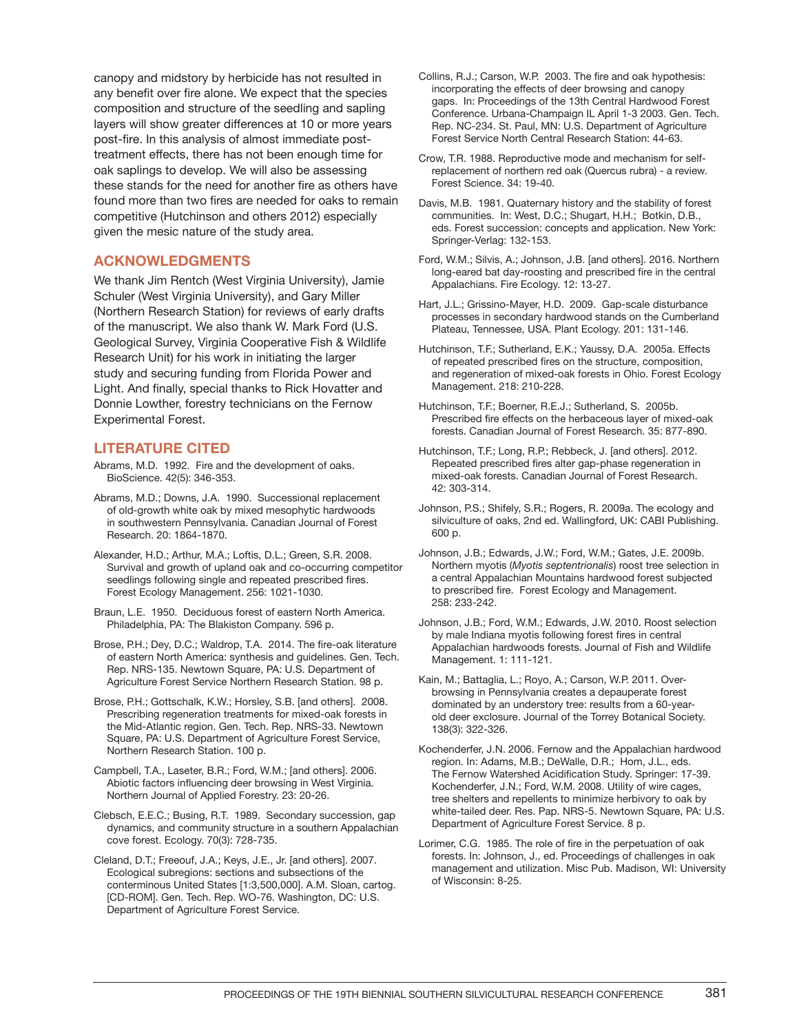canopy and midstory by herbicide has not resulted in any benefit over fire alone. We expect that the species composition and structure of the seedling and sapling layers will show greater differences at 10 or more years post-fire. In this analysis of almost immediate posttreatment effects, there has not been enough time for oak saplings to develop. We will also be assessing these stands for the need for another fire as others have found more than two fires are needed for oaks to remain competitive (Hutchinson and others 2012) especially given the mesic nature of the study area.

#### **ACKNOWLEDGMENTS**

We thank Jim Rentch (West Virginia University), Jamie Schuler (West Virginia University), and Gary Miller (Northern Research Station) for reviews of early drafts of the manuscript. We also thank W. Mark Ford (U.S. Geological Survey, Virginia Cooperative Fish & Wildlife Research Unit) for his work in initiating the larger study and securing funding from Florida Power and Light. And finally, special thanks to Rick Hovatter and Donnie Lowther, forestry technicians on the Fernow Experimental Forest.

#### **LITERATURE CITED**

Abrams, M.D. 1992. Fire and the development of oaks. BioScience. 42(5): 346-353.

- Abrams, M.D.; Downs, J.A. 1990. Successional replacement of old-growth white oak by mixed mesophytic hardwoods in southwestern Pennsylvania. Canadian Journal of Forest Research. 20: 1864-1870.
- Alexander, H.D.; Arthur, M.A.; Loftis, D.L.; Green, S.R. 2008. Survival and growth of upland oak and co-occurring competitor seedlings following single and repeated prescribed fires. Forest Ecology Management. 256: 1021-1030.
- Braun, L.E. 1950. Deciduous forest of eastern North America. Philadelphia, PA: The Blakiston Company. 596 p.
- Brose, P.H.; Dey, D.C.; Waldrop, T.A. 2014. The fire-oak literature of eastern North America: synthesis and guidelines. Gen. Tech. Rep. NRS-135. Newtown Square, PA: U.S. Department of Agriculture Forest Service Northern Research Station. 98 p.
- Brose, P.H.; Gottschalk, K.W.; Horsley, S.B. [and others]. 2008. Prescribing regeneration treatments for mixed-oak forests in the Mid-Atlantic region. Gen. Tech. Rep. NRS-33. Newtown Square, PA: U.S. Department of Agriculture Forest Service, Northern Research Station. 100 p.
- Campbell, T.A., Laseter, B.R.; Ford, W.M.; [and others]. 2006. Abiotic factors influencing deer browsing in West Virginia. Northern Journal of Applied Forestry. 23: 20-26.
- Clebsch, E.E.C.; Busing, R.T. 1989. Secondary succession, gap dynamics, and community structure in a southern Appalachian cove forest. Ecology. 70(3): 728-735.
- Cleland, D.T.; Freeouf, J.A.; Keys, J.E., Jr. [and others]. 2007. Ecological subregions: sections and subsections of the conterminous United States [1:3,500,000]. A.M. Sloan, cartog. [CD-ROM]. Gen. Tech. Rep. WO-76. Washington, DC: U.S. Department of Agriculture Forest Service.
- Collins, R.J.; Carson, W.P. 2003. The fire and oak hypothesis: incorporating the effects of deer browsing and canopy gaps. In: Proceedings of the 13th Central Hardwood Forest Conference. Urbana-Champaign IL April 1-3 2003. Gen. Tech. Rep. NC-234. St. Paul, MN: U.S. Department of Agriculture Forest Service North Central Research Station: 44-63.
- Crow, T.R. 1988. Reproductive mode and mechanism for selfreplacement of northern red oak (Quercus rubra) - a review. Forest Science. 34: 19-40.
- Davis, M.B. 1981. Quaternary history and the stability of forest communities. In: West, D.C.; Shugart, H.H.; Botkin, D.B., eds. Forest succession: concepts and application. New York: Springer-Verlag: 132-153.
- Ford, W.M.; Silvis, A.; Johnson, J.B. [and others]. 2016. Northern long-eared bat day-roosting and prescribed fire in the central Appalachians. Fire Ecology. 12: 13-27.
- Hart, J.L.; Grissino-Mayer, H.D. 2009. Gap-scale disturbance processes in secondary hardwood stands on the Cumberland Plateau, Tennessee, USA. Plant Ecology. 201: 131-146.
- Hutchinson, T.F.; Sutherland, E.K.; Yaussy, D.A. 2005a. Effects of repeated prescribed fires on the structure, composition, and regeneration of mixed-oak forests in Ohio. Forest Ecology Management. 218: 210-228.
- Hutchinson, T.F.; Boerner, R.E.J.; Sutherland, S. 2005b. Prescribed fire effects on the herbaceous layer of mixed-oak forests. Canadian Journal of Forest Research. 35: 877-890.
- Hutchinson, T.F.; Long, R.P.; Rebbeck, J. [and others]. 2012. Repeated prescribed fires alter gap-phase regeneration in mixed-oak forests. Canadian Journal of Forest Research. 42: 303-314.
- Johnson, P.S.; Shifely, S.R.; Rogers, R. 2009a. The ecology and silviculture of oaks, 2nd ed. Wallingford, UK: CABI Publishing. 600 p.
- Johnson, J.B.; Edwards, J.W.; Ford, W.M.; Gates, J.E. 2009b. Northern myotis (*Myotis septentrionalis*) roost tree selection in a central Appalachian Mountains hardwood forest subjected to prescribed fire. Forest Ecology and Management. 258: 233- 242.
- Johnson, J.B.; Ford, W.M.; Edwards, J.W. 2010. Roost selection by male Indiana myotis following forest fires in central Appalachian hardwoods forests. Journal of Fish and Wildlife Management. 1: 111-121.
- Kain, M.; Battaglia, L.; Royo, A.; Carson, W.P. 2011. Overbrowsing in Pennsylvania creates a depauperate forest dominated by an understory tree: results from a 60-yearold deer exclosure. Journal of the Torrey Botanical Society. 138(3): 322-326.
- Kochenderfer, J.N. 2006. Fernow and the Appalachian hardwood region. In: Adams, M.B.; DeWalle, D.R.; Hom, J.L., eds. The Fernow Watershed Acidification Study. Springer: 17-39. Kochenderfer, J.N.; Ford, W.M. 2008. Utility of wire cages, tree shelters and repellents to minimize herbivory to oak by white-tailed deer. Res. Pap. NRS-5. Newtown Square, PA: U.S. Department of Agriculture Forest Service. 8 p.
- Lorimer, C.G. 1985. The role of fire in the perpetuation of oak forests. In: Johnson, J., ed. Proceedings of challenges in oak management and utilization. Misc Pub. Madison, WI: University of Wisconsin: 8-25.